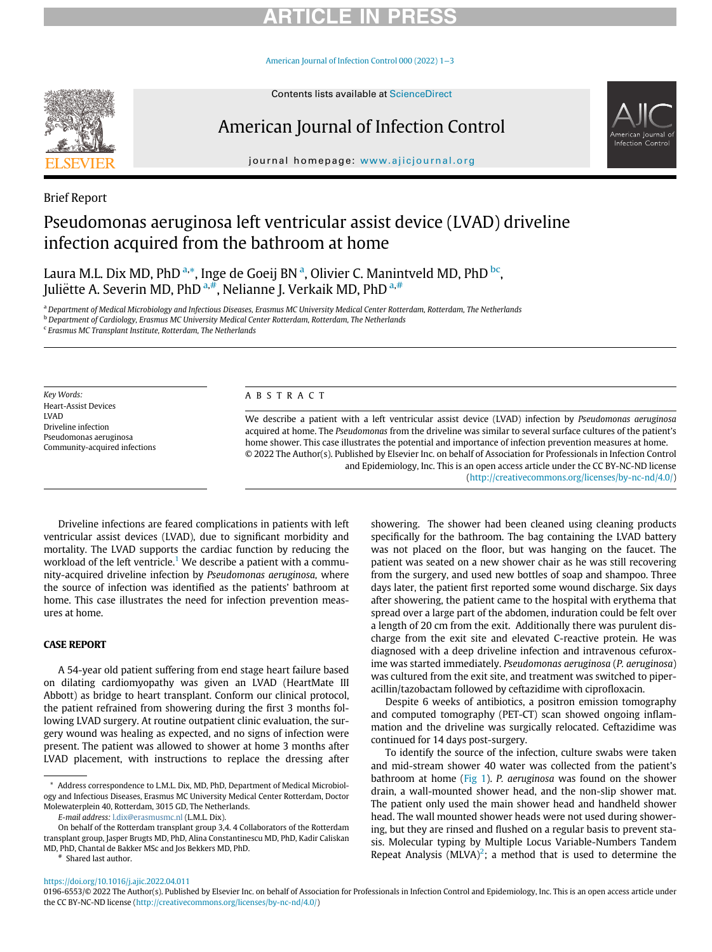## RTICLE IN PR

[American Journal of Infection Control 000 \(2022\) 1](https://doi.org/10.1016/j.ajic.2022.04.011)−3



# American Journal of Infection Control



journal homepage: [www.ajicjournal.org](http://www.ajicjournal.org)

Brief Report

## Pseudomonas aeruginosa left ventricular assist device (LVAD) driveline infection acquired from the bathroom at home

Laura M.L. Dix MD, PhD <sup>[a,](#page-0-0)[\\*](#page-0-1)</sup>, Inge de Goeij BN <sup>[a](#page-0-0)</sup>, Olivier C. Manintveld MD, PhD <sup>[b](#page-0-2)[c](#page-0-3)</sup>, Juliëtte A. Severin MD, PhD  $a, b$  $a, b$ , Neli[a](#page-0-0)nne J. Verkaik MD, PhD  $a, b$ 

<span id="page-0-0"></span>a Department of Medical Microbiology and Infectious Diseases, Erasmus MC University Medical Center Rotterdam, Rotterdam, The Netherlands

<span id="page-0-2"></span><sup>b</sup> Department of Cardiology, Erasmus MC University Medical Center Rotterdam, Rotterdam, The Netherlands

<span id="page-0-3"></span> $c$  Erasmus MC Transplant Institute, Rotterdam, The Netherlands

Key Words: Heart-Assist Devices LVAD Driveline infection Pseudomonas aeruginosa Community-acquired infections

### ABSTRACT

We describe a patient with a left ventricular assist device (LVAD) infection by Pseudomonas aeruginosa acquired at home. The Pseudomonas from the driveline was similar to several surface cultures of the patient's home shower. This case illustrates the potential and importance of infection prevention measures at home. © 2022 The Author(s). Published by Elsevier Inc. on behalf of Association for Professionals in Infection Control and Epidemiology, Inc. This is an open access article under the CC BY-NC-ND license [\(http://creativecommons.org/licenses/by-nc-nd/4.0/](http://creativecommons.org/licenses/by-nc-nd/4.0/))

Driveline infections are feared complications in patients with left ventricular assist devices (LVAD), due to significant morbidity and mortality. The LVAD supports the cardiac function by reducing the workload of the left ventricle.<sup>[1](#page-2-0)</sup> We describe a patient with a community-acquired driveline infection by Pseudomonas aeruginosa, where the source of infection was identified as the patients' bathroom at home. This case illustrates the need for infection prevention measures at home.

A 54-year old patient suffering from end stage heart failure based on dilating cardiomyopathy was given an LVAD (HeartMate III Abbott) as bridge to heart transplant. Conform our clinical protocol, the patient refrained from showering during the first 3 months following LVAD surgery. At routine outpatient clinic evaluation, the surgery wound was healing as expected, and no signs of infection were present. The patient was allowed to shower at home 3 months after LVAD placement, with instructions to replace the dressing after

E-mail address: [l.dix@erasmusmc.nl](mailto:l.dix@erasmusmc.nl) (L.M.L. Dix).

Shared last author.

showering. The shower had been cleaned using cleaning products specifically for the bathroom. The bag containing the LVAD battery was not placed on the floor, but was hanging on the faucet. The patient was seated on a new shower chair as he was still recovering from the surgery, and used new bottles of soap and shampoo. Three days later, the patient first reported some wound discharge. Six days after showering, the patient came to the hospital with erythema that spread over a large part of the abdomen, induration could be felt over a length of 20 cm from the exit. Additionally there was purulent discharge from the exit site and elevated C-reactive protein. He was diagnosed with a deep driveline infection and intravenous cefuroxime was started immediately. Pseudomonas aeruginosa (P. aeruginosa) was cultured from the exit site, and treatment was switched to piperacillin/tazobactam followed by ceftazidime with ciprofloxacin.

Despite 6 weeks of antibiotics, a positron emission tomography and computed tomography (PET-CT) scan showed ongoing inflammation and the driveline was surgically relocated. Ceftazidime was continued for 14 days post-surgery.

To identify the source of the infection, culture swabs were taken and mid-stream shower 40 water was collected from the patient's bathroom at home [\(Fig 1\)](#page-1-0). P. aeruginosa was found on the shower drain, a wall-mounted shower head, and the non-slip shower mat. The patient only used the main shower head and handheld shower head. The wall mounted shower heads were not used during showering, but they are rinsed and flushed on a regular basis to prevent stasis. Molecular typing by Multiple Locus Variable-Numbers Tandem Repeat Analysis (MLVA)<sup>[2](#page-2-1)</sup>; a method that is used to determine the

<span id="page-0-4"></span><https://doi.org/10.1016/j.ajic.2022.04.011>

<span id="page-0-1"></span><sup>\*</sup> Address correspondence to L.M.L. Dix, MD, PhD, Department of Medical Microbiology and Infectious Diseases, Erasmus MC University Medical Center Rotterdam, Doctor Molewaterplein 40, Rotterdam, 3015 GD, The Netherlands.

On behalf of the Rotterdam transplant group 3,4. 4 Collaborators of the Rotterdam transplant group, Jasper Brugts MD, PhD, Alina Constantinescu MD, PhD, Kadir Caliskan MD, PhD, Chantal de Bakker MSc and Jos Bekkers MD, PhD.

<sup>0196-6553/© 2022</sup> The Author(s). Published by Elsevier Inc. on behalf of Association for Professionals in Infection Control and Epidemiology, Inc. This is an open access article under the CC BY-NC-ND license ([http://creativecommons.org/licenses/by-nc-nd/4.0/\)](http://creativecommons.org/licenses/by-nc-nd/4.0/)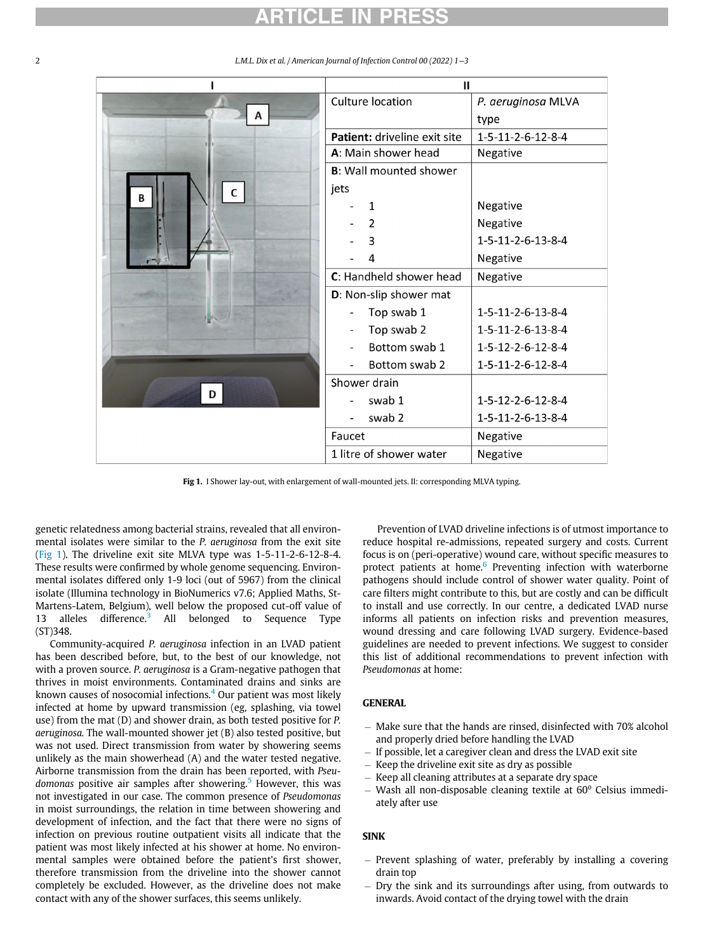## RTICLE

|             | Ш                              |                    |
|-------------|--------------------------------|--------------------|
| A<br>C<br>B | Culture location               | P. aeruginosa MLVA |
|             |                                | type               |
|             | Patient: driveline exit site   | 1-5-11-2-6-12-8-4  |
|             | A: Main shower head            | Negative           |
|             | <b>B</b> : Wall mounted shower |                    |
|             | jets                           |                    |
|             | $\mathbf{1}$                   | Negative           |
|             | $\overline{2}$                 | Negative           |
|             | 3                              | 1-5-11-2-6-13-8-4  |
|             | 4                              | Negative           |
|             | C: Handheld shower head        | Negative           |
|             | D: Non-slip shower mat         |                    |
|             | Top swab 1                     | 1-5-11-2-6-13-8-4  |
|             | Top swab 2                     | 1-5-11-2-6-13-8-4  |
|             | Bottom swab 1                  | 1-5-12-2-6-12-8-4  |
|             | Bottom swab 2                  | 1-5-11-2-6-12-8-4  |
| D           | Shower drain                   |                    |
|             | swab 1                         | 1-5-12-2-6-12-8-4  |
|             | swab 2                         | 1-5-11-2-6-13-8-4  |
|             | Faucet                         | Negative           |
|             | 1 litre of shower water        | Negative           |

<span id="page-1-0"></span>2 L.M.L. Dix et al. / American Journal of Infection Control 00 (2022) 1−3

Fig 1. I Shower lay-out, with enlargement of wall-mounted jets. II: corresponding MLVA typing.

genetic relatedness among bacterial strains, revealed that all environmental isolates were similar to the P. aeruginosa from the exit site [\(Fig 1\)](#page-1-0). The driveline exit site MLVA type was 1-5-11-2-6-12-8-4. These results were confirmed by whole genome sequencing. Environmental isolates differed only 1-9 loci (out of 5967) from the clinical isolate (Illumina technology in BioNumerics v7.6; Applied Maths, St-Martens-Latem, Belgium), well below the proposed cut-off value of 1[3](#page-2-2) alleles difference.<sup>3</sup> All belonged to Sequence Type (ST)348.

Community-acquired P. aeruginosa infection in an LVAD patient has been described before, but, to the best of our knowledge, not with a proven source. P. aeruginosa is a Gram-negative pathogen that thrives in moist environments. Contaminated drains and sinks are known causes of nosocomial infections. $4$  Our patient was most likely infected at home by upward transmission (eg, splashing, via towel use) from the mat (D) and shower drain, as both tested positive for P. aeruginosa. The wall-mounted shower jet (B) also tested positive, but was not used. Direct transmission from water by showering seems unlikely as the main showerhead (A) and the water tested negative. Airborne transmission from the drain has been reported, with Pseu-domonas positive air samples after showering.<sup>[5](#page-2-4)</sup> However, this was not investigated in our case. The common presence of Pseudomonas in moist surroundings, the relation in time between showering and development of infection, and the fact that there were no signs of infection on previous routine outpatient visits all indicate that the patient was most likely infected at his shower at home. No environmental samples were obtained before the patient's first shower, therefore transmission from the driveline into the shower cannot completely be excluded. However, as the driveline does not make contact with any of the shower surfaces, this seems unlikely.

Prevention of LVAD driveline infections is of utmost importance to reduce hospital re-admissions, repeated surgery and costs. Current focus is on (peri-operative) wound care, without specific measures to protect patients at home.<sup>[6](#page-2-5)</sup> Preventing infection with waterborne pathogens should include control of shower water quality. Point of care filters might contribute to this, but are costly and can be difficult to install and use correctly. In our centre, a dedicated LVAD nurse informs all patients on infection risks and prevention measures, wound dressing and care following LVAD surgery. Evidence-based guidelines are needed to prevent infections. We suggest to consider this list of additional recommendations to prevent infection with Pseudomonas at home:

- Make sure that the hands are rinsed, disinfected with 70% alcohol and properly dried before handling the LVAD
- If possible, let a caregiver clean and dress the LVAD exit site
- $-$  Keep the driveline exit site as dry as possible
- Keep all cleaning attributes at a separate dry space
- $-$  Wash all non-disposable cleaning textile at 60 $^{\circ}$  Celsius immediately after use

### **SINK**

- Prevent splashing of water, preferably by installing a covering drain top
- Dry the sink and its surroundings after using, from outwards to inwards. Avoid contact of the drying towel with the drain